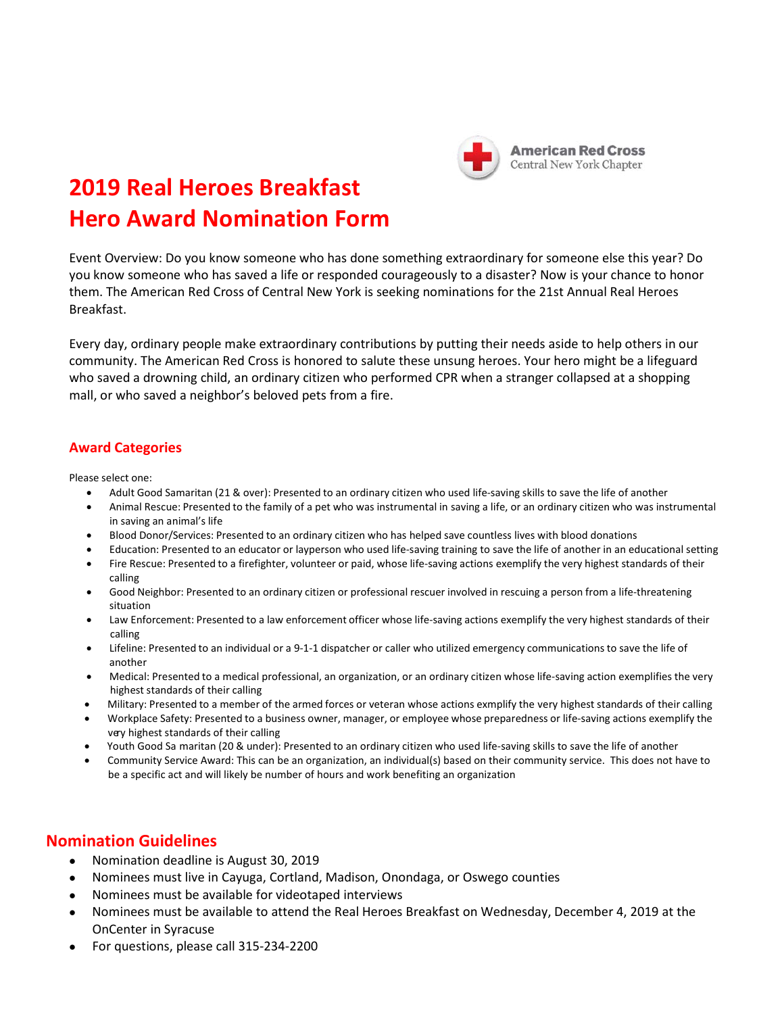

## **2019 Real Heroes Breakfast Hero Award Nomination Form**

Event Overview: Do you know someone who has done something extraordinary for someone else this year? Do you know someone who has saved a life or responded courageously to a disaster? Now is your chance to honor them. The American Red Cross of Central New York is seeking nominations for the 21st Annual Real Heroes Breakfast.

Every day, ordinary people make extraordinary contributions by putting their needs aside to help others in our community. The American Red Cross is honored to salute these unsung heroes. Your hero might be a lifeguard who saved a drowning child, an ordinary citizen who performed CPR when a stranger collapsed at a shopping mall, or who saved a neighbor's beloved pets from a fire.

## **Award Categories**

Please select one:

- Adult Good Samaritan (21 & over): Presented to an ordinary citizen who used life-saving skills to save the life of another
- Animal Rescue: Presented to the family of a pet who was instrumental in saving a life, or an ordinary citizen who was instrumental in saving an animal's life
- Blood Donor/Services: Presented to an ordinary citizen who has helped save countless lives with blood donations
- Education: Presented to an educator or layperson who used life‐saving training to save the life of another in an educational setting
- Fire Rescue: Presented to a firefighter, volunteer or paid, whose life‐saving actions exemplify the very highest standards of their calling
- Good Neighbor: Presented to an ordinary citizen or professional rescuer involved in rescuing a person from a life-threatening situation
- Law Enforcement: Presented to a law enforcement officer whose life‐saving actions exemplify the very highest standards of their calling
- Lifeline: Presented to an individual or a 9‐1‐1 dispatcher or caller who utilized emergency communications to save the life of another
- Medical: Presented to a medical professional, an organization, or an ordinary citizen whose life‐saving action exemplifies the very highest standards of their calling
- Military: Presented to a member of the armed forces or veteran whose actions exmplify the very highest standards of their calling
- Workplace Safety: Presented to a business owner, manager, or employee whose preparedness or life‐saving actions exemplify the very highest standards of their calling
- Youth Good Sa maritan (20 & under): Presented to an ordinary citizen who used life-saving skills to save the life of another
- Community Service Award: This can be an organization, an individual(s) based on their community service. This does not have to be a specific act and will likely be number of hours and work benefiting an organization

## **Nomination Guidelines**

- Nomination deadline is August 30, 2019
- Nominees must live in Cayuga, Cortland, Madison, Onondaga, or Oswego counties
- Nominees must be available for videotaped interviews
- Nominees must be available to attend the Real Heroes Breakfast on Wednesday, December 4, 2019 at the OnCenter in Syracuse
- For questions, please call 315‐234‐2200